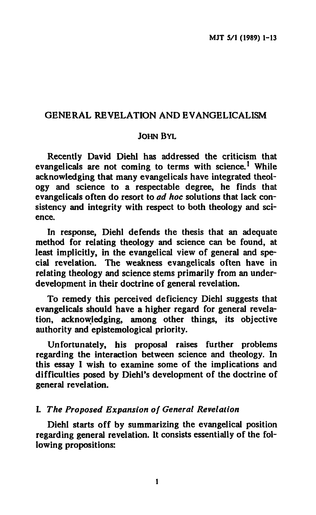# **GENERAL REVELATION AND EVANGELICALISM**

### **JOHN BYL**

**Recently David Diehi has addressed the criticism that evangelicals are not coming to terms with science.<sup>1</sup> While acknowledging that many evangelicals have integrated theology and science to a respectable degree, he finds that evangelicals often do resort to** *ad hoc* **solutions that lack consistency and integrity with respect to both theology and science.** 

**In response, Diehl defends the thesis that an adequate method for relating theology and science can be found, at least implicitly, in the evangelical view of general and special revelation. The weakness evangelicals often have in relating theology and science stems primarily from an underdevelopment in their doctrine of general revelation.** 

**To remedy this perceived deficiency Diehl suggests that evangelicals should have a higher regard for general revelation, acknowledging, among other things, its objective authority and epistemological priority.** 

**Unfortunately, his proposal raises further problems regarding the interaction between science and theology. In this essay I wish to examine some of the implications and**  difficulties posed by Diehl's development of the doctrine of **general revelation.** 

### **I.** *The Proposed Expansion of General Revelation*

**Diehl starts off by summarizing the evangelical position regarding general revelation. It consists essentially of the following propositions:**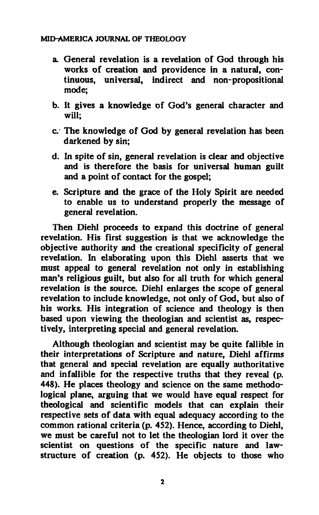- **a. General revelation is a revelation of God through his works of creation and providence in a natural, continuous, universal, indirect and non-propositional mode;**
- **b. It gives a knowledge of God's general character and will;**
- **c. The knowledge of God by general revelation has been darkened by sin;**
- **d. In spite of sin, general revelation is clear and objective and is therefore the basis for universal human guilt and a point of contact for the gospel;**
- **e. Scripture and the grace of the Holy Spirit are needed to enable us to understand properly the message of general revelation.**

**Then Diehl proceeds to expand this doctrine of general revelation. His first suggestion is that we acknowledge the objective authority and the creational specificity of general revelation. In elaborating upon this Diehl asserts that we must appeal to general revelation not only in establishing man's religious guilt, but also for all truth for which general revelation is the source. Diehl enlarges the scope of general revelation to include knowledge, not only of God, but also of his works. His integration of science and theology is then based upon viewing the theologian and scientist as, respectively, interpreting special and general revelation.** 

**Although theologian and scientist may be quite fallible in their interpretations of Scripture and nature, Diehl affirms that general and special revelation are equally authoritative and infallible for the respective truths that they reveal (p. 448). He places theology and science on the same methodological plane, arguing that we would have equal respect for theological and scientific models that can explain their respective sets of data with equal adequacy according to the common rational criteria (p. 452). Hence, according to Diehl, we must be careful not to let the theologian lord it over the scientist on questions of the specific nature and lawstructure of creation (p. 452). He objects to those who**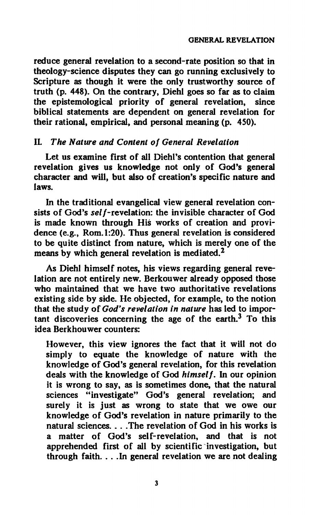**reduce general revelation to a second-rate position so that in theology-science disputes they can go running exclusively to Scripture as though it were the only trustworthy source of truth (p. 448). On the contrary, Diehl goes so far as to claim the epistemological priority of general revelation, since biblical statements are dependent on general revelation for their rational, empirical, and personal meaning (p. 450).** 

## **II.** *The Nature and Content of General Revelation*

Let us examine first of all Diehl's contention that general **revelation gives us knowledge not only of God's general character and will, but also of creation's specific nature and laws.** 

**In the traditional evangelical view general revelation con**sists of God's self-revelation: the invisible character of God **is made known through His works of creation and providence (e.g., Rom. 1:20). Thus general revelation is considered to be quite distinct from nature, which is merely one of the means by which general revelation is mediated.<sup>2</sup>**

**As Diehl himself notes, his views regarding general revelation are not entirely new. Berkouwer already opposed those who maintained that we have two authoritative revelations existing side by side. He objected, for example, to the notion**  that the study of God's revelation in nature has led to impor**tant discoveries concerning the age of the earth.<sup>3</sup> To this idea Berkhouwer counters:** 

**However, this view ignores the fact that it will not do simply to equate the knowledge of nature with the knowledge of God's general revelation, for this revelation deals with the knowledge of God** *himself.* **In our opinion it is wrong to say, as is sometimes done, that the natural sciences "investigate" God's general revelation; and surely it is just as wrong to state that we owe our knowledge of God's revelation in nature primarily to the natural sciences. . . .The revelation of God in his works is a matter of God's self-revelation, and that is not apprehended first of all by scientific investigation, but through faith. . . .In general revelation we are not dealing**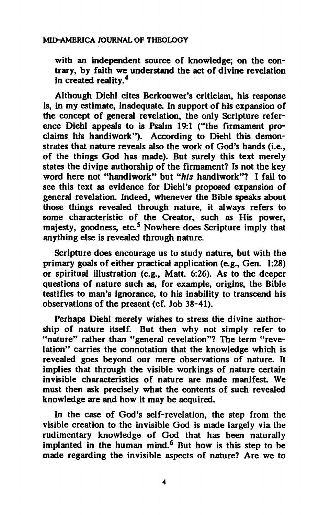**with an independent source of knowledge; on the contrary, by faith we understand the act of divine revelation in created reality.<sup>4</sup>**

**Although Diehl cites Berkouwer's criticism, his response is, in my estimate, inadequate. In support of his expansion of the concept of general revelation, the only Scripture reference Diehl appeals to is Psalm 19:1 ("the firmament proclaims hts handiwork"). According to Diehl this demonstrates that nature reveals also the work of God's hands (i.e., of the things God has made). But surely this text merely states the divine authorship of the firmament? Is not the key word here not "handiwork" but** *"his* **handiwork"? I fail to see this text as evidence for Diehl's proposed expansion of general revelation. Indeed, whenever the Bible speaks about those things revealed through nature, it always refers to some characteristic of the Creator, such as His power, majesty, goodness, etc.<sup>5</sup> Nowhere does Scripture imply that anything else is revealed through nature.** 

**Scripture does encourage us to study nature, but with the primary goals of either practical application (e.g., Gen. 1:28) or spiritual illustration (e.g., Matt. 6:26). As to the deeper questions of nature such as, for example, origins, the Bible testifies to man's ignorance, to his inability to transcend his observations of the present (cf. Job 38-41).** 

**Perhaps Diehl merely wishes to stress the divine authorship of nature itself. But then why not simply refer to "nature" rather than "general revelation"? The term "revelation" carries the connotation that the knowledge which is revealed goes beyond our mere observations of nature. It implies that through the visible workings of nature certain invisible characteristics of nature are made manifest. We must then ask precisely what the contents of such revealed knowledge are and how it may be acquired.** 

In the case of God's self-revelation, the step from the **visible creation to the invisible God is made largely via the rudimentary knowledge of God that has been naturally implanted in the human mind.<sup>6</sup> But how is this step to be made regarding the invisible aspects of nature? Are we to**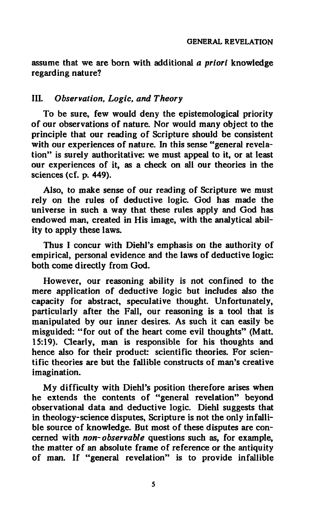**assume that we are born with additional** *a priori* **knowledge regarding nature?** 

### **III.** *Observation, Logic, and Theory*

**To be sure, few would deny the epistemologica! priority of our observations of nature. Nor would many object to the principle that our reading of Scripture should be consistent with our experiences of nature. In this sense "general revelation" is surely authoritative: we must appeal to it, or at least our experiences of it, as a check on all our theories in the sciences (cf. p. 449).** 

**Also, to make sense of our reading of Scripture we must rely on the rules of deductive logic. God has made the universe in such a way that these rules apply and God has endowed man, created in His image, with the analytical ability to apply these laws.** 

**Thus I concur with Diehl's emphasis on the authority of empirical, personal evidence and the laws of deductive logic: both come directly from God.** 

**However, our reasoning ability is not confined to the mere application of deductive logic but includes also the capacity for abstract, speculative thought. Unfortunately, particularly after the Fall, our reasoning is a tool that is manipulated by our inner desires. As such it can easily be misguided: "for out of the heart come evil thoughts" (Matt. 15:19). Clearly, man is responsible for his thoughts and hence also for their product: scientific theories. For scientific theories are but the fallible constructs of man's creative imagination.** 

**My difficulty with Diehl's position therefore arises when he extends the contents of "general revelation" beyond observational data and deductive logic. Diehl suggests that in theology-science disputes, Scripture is not the only infallible source of knowledge. But most of these disputes are concerned with** *non-observable* **questions such as, for example, the matter of an absolute frame of reference or the antiquity of man. If "general revelation" is to provide infallible**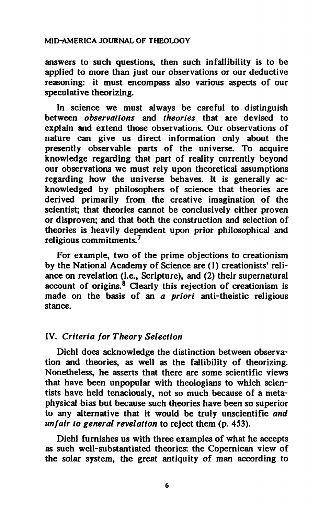**answers to such questions, then such infallibility is to be applied to more than just our observations or our deductive reasoning: it must encompass also various aspects of our speculative theorizing.** 

**In science we must always be careful to distinguish between** *observations* **and** *theories* **that are devised to explain and extend those observations. Our observations of nature can give us direct information only about the presently observable parts of the universe. To acquire knowledge regarding that part of reality currently beyond our observations we must rely upon theoretical assumptions regarding how the universe behaves. It is generally acknowledged by philosophers of science that theories are derived primarily from the creative imagination of the scientist; that theories cannot be conclusively either proven or disproven; and that both the construction and selection of theories is heavily dependent upon prior philosophical and religious commitments.<sup>7</sup>**

**For example, two of the prime objections to creationism by the National Academy of Science are (1) creationists' reliance on revelation (i.e., Scripture), and (2) their supernatural account of origins.<sup>8</sup> Clearly this rejection of creationism is made on the basis of an α** *priori* **anti-theistic religious stance.** 

# **IV.** *Criteria for Theory Selection*

**Diehl does acknowledge the distinction between observation and theories, as well as the fallibility of theorizing. Nonetheless, he asserts that there are some scientific views that have been unpopular with theologians to which scientists have held tenaciously, not so much because of a metaphysical bias but because such theories have been so superior to any alternative that it would be truly unscientific** *and unfair to general revelation* **to reject them (p. 453).** 

**Diehl furnishes us with three examples of what he accepts as such well-substantiated theories: the Copernican view of the solar system, the great antiquity of man according to**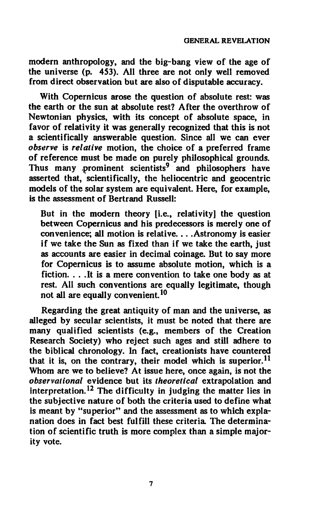**modern anthropology, and the big-bang view of the age of the universe (p. 453). All three are not only well removed from direct observation but are also of disputable accuracy.** 

**With Copernicus arose the question of absolute rest: was the earth or the sun at absolute rest? After the overthrow of Newtonian physics, with its concept of absolute space, in favor of relativity it was generally recognized that this is not a scientifically answerable question. Since all we can ever**  *observe* **is** *relative* **motion, the choice of a preferred frame of reference must be made on purely philosophical grounds. Thus many prominent scientists<sup>9</sup> and philosophers have asserted that, scientifically, the heliocentric and geocentric models of the solar system are equivalent. Here, for example, is the assessment of Bertrand Russell:** 

**But in the modern theory [i.e., relativity] the question between Copernicus and his predecessors is merely one of convenience; all motion is relative... .Astronomy is easier if we take the Sun as fixed than if we take the earth, just as accounts are easier in decimal coinage. But to say more for Copernicus is to assume absolute motion, which is a fiction. . . .It is a mere convention to take one body as at rest. All such conventions are equally legitimate, though not all are equally convenient.<sup>10</sup>**

**Regarding the great antiquity of man and the universe, as alleged by secular scientists, it must be noted that there are many qualified scientists (e.g., members of the Creation Research Society) who reject such ages and still adhere to the biblical chronology. In fact, creationists have countered that it is, on the contrary, their model which is superior.<sup>11</sup> Whom are we to believe? At issue here, once again, is not the**  *observational* **evidence but its** *theoretical* **extrapolation and interpretation.<sup>12</sup> The difficulty in judging the matter lies in the subjective nature of both the criteria used to define what is meant by "superior" and the assessment as to which explanation does in fact best fulfill these criteria The determination of scientific truth is more complex than a simple majority vote.**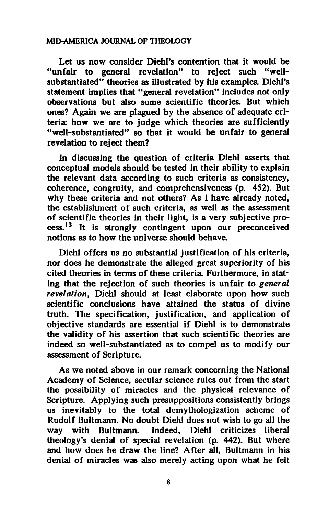**Let us now consider Diehl's contention that it would be "unfair to general revelation" to reject such "wellsubstantiated" theories as illustrated by his examples. Diehl's statement implies that "general revelation" includes not only observations but also some scientific theories. But which ones? Again we are plagued by the absence of adequate criteria: how we are to judge which theories are sufficiently "well-substantiated" so that it would be unfair to general revelation to reject them?** 

**In discussing the question of criteria Diehl asserts that conceptual models should be tested in their ability to explain the relevant data according to such criteria as consistency, coherence, congruity, and comprehensiveness (p. 452). But why these criteria and not others? As I have already noted, the establishment of such criteria, as well as the assessment of scientific theories in their light, is a very subjective process.<sup>13</sup> It is strongly contingent upon our preconceived notions as to how the universe should behave.** 

**Diehl offers us no substantial justification of his criteria, nor does he demonstrate the alleged great superiority of his cited theories in terms of these criteria Furthermore, in stating that the rejection of such theories is unfair to** *general revelation,* **Diehl should at least elaborate upon how such scientific conclusions have attained the status of divine truth. The specification, justification, and application of objective standards are essential if Diehl is to demonstrate the validity of his assertion that such scientific theories are indeed so well-substantiated as to compel us to modify our assessment of Scripture.** 

**As we noted above in our remark concerning the National Academy of Science, secular science rules out from the start the possibility of miracles and the physical relevance of Scripture. Applying such presuppositions consistently brings us inevitably to the total demythologization scheme of Rudolf Bultmann. No doubt Diehl does not wish to go all the way with Bultmann. Indeed, Diehl criticizes liberal theology's denial of special revelation (p. 442). But where and how does he draw the line? After all, Bultmann in his denial of miracles was also merely acting upon what he felt**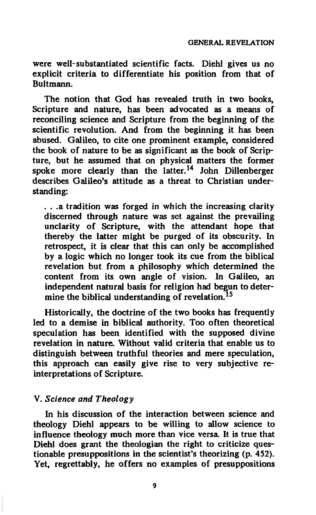**were well-substantiated scientific facts. Diehl gives us no explicit criteria to differentiate his position from that of Bultmann.** 

**The notion that God has revealed truth in two books, Scripture and nature, has been advocated as a means of reconciling science and Scripture from the beginning of the scientific revolution. And from the beginning it has been abused. Galileo, to cite one prominent example, considered the book of nature to be as significant as the book of Scripture, but he assumed that on physical matters the former spoke more clearly than the latter.<sup>14</sup> John Dillenberger describes Galileo's attitude as a threat to Christian understanding:** 

**. . .a tradition was forged in which the increasing clarity discerned through nature was set against the prevailing unclarity of Scripture, with the attendant hope that thereby the latter might be purged of its obscurity. In retrospect, it is clear that this can only be accomplished by a logic which no longer took its cue from the biblical revelation but from a philosophy which determined the content from its own angle of vision. In Galileo, an independent natural basis for religion had begun to determine the biblical understanding of revelation.<sup>15</sup>**

**Historically, the doctrine of the two books has frequently led to a demise in biblical authority. Too often theoretical speculation has been identified with the supposed divine revelation in nature. Without valid criteria that enable us to distinguish between truthful theories and mere speculation, this approach can easily give rise to very subjective reinterpretations of Scripture.** 

## **V.** *Science and Theology*

**In his discussion of the interaction between science and theology Diehl appears to be willing to allow science to influence theology much more than vice versa It is true that Diehl does grant the theologian the right to criticize questionable presuppositions in the scientist's theorizing (p. 452). Yet, regrettably, he offers no examples of presuppositions**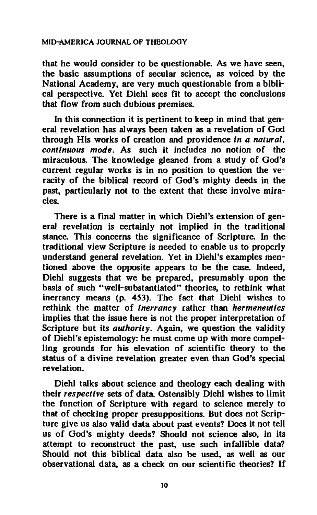**that he would consider to be questionable. As we have seen, the basic assumptions of secular science, as voiced by the National Academy, are very much questionable from a biblical perspective. Yet Diehl sees fit to accept the conclusions that flow from such dubious premises.** 

**In this connection it is pertinent to keep in mind that general revelation has always been taken as a revelation of God through His works of creation and providence** *in a natural, continuous mode.* **As such it includes no notion of the miraculous. The knowledge gleaned from a study of God's current regular works is in no position to question the veracity of the biblical record of God's mighty deeds in the past, particularly not to the extent that these involve miracles.** 

**There is a final matter in which Diehl's extension of general revelation is certainly not implied in the traditional stance. This concerns the significance of Scripture. In the traditional view Scripture is needed to enable us to properly understand general revelation. Yet in Diehl's examples mentioned above the opposite appears to be** *íhe* **case. Indeed, Diehl suggests that we be prepared, presumably upon the basis of such "well-substantiated" theories, to rethink what inerrancy means (p. 453). The fact that Diehl wishes to rethink the matter of** *inerrancy* **rather than** *hermeneutics*  **implies that the issue here is not the proper interpretation of Scripture but its** *authority.* **Again, we question the validity of Diehl's epistemology: he must come up with more compelling grounds for his elevation of scientific theory to the status of a divine revelation greater even than God's special revelation.** 

**Diehl talks about science and theology each dealing with their** *respective* **sets of data Ostensibly Diehl wishes to limit the function of Scripture with regard to science merely to that of checking proper presuppositions. But does not Scripture give us also valid data about past events? Does it not tell us of God's mighty deeds? Should not science also, in its attempt to reconstruct the past, use such infallible data? Should not this biblical data also be used, as well as our observational data, as a check on our scientific theories? If**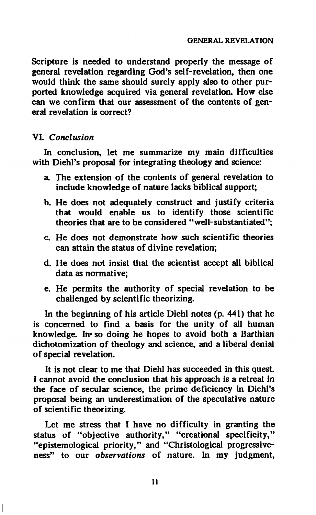**Scripture is needed to understand properly the message of general revelation regarding God's self-revelation, then one would think the same should surely apply also to other purported knowledge acquired via general revelation. How else can we confirm that our assessment of the contents of general revelation is correct?** 

## **VI.** *Conclusion*

**In conclusion, let me summarize my main difficulties with Diehl's proposal for integrating theology and science:** 

- **a The extension of the contents of general revelation to include knowledge of nature lacks biblical support;**
- **b. He does not adequately construct and justify criteria that would enable us to identify those scientific theories that are to be considered "well-substantiated";**
- **c. He does not demonstrate how such scientific theories can attain the status of divine revelation;**
- **d. He does not insist that the scientist accept all biblical data as normative;**
- **e. He permits the authority of special revelation to be challenged by scientific theorizing.**

**In the beginning of his article Diehl notes (p. 441) that he is concerned to find a basis for the unity of all human knowledge. In« so doing he hopes to avoid both a Barthian dichotomization of theology and science, and a liberal denial of special revelation.** 

**It is not clear to me that Diehl has succeeded in this quest. I cannot avoid the conclusion that his approach is a retreat in the face of secular science, the prime deficiency in Diehl's proposal being an underestimation of the speculative nature of scientific theorizing.** 

**Let me stress that I have no difficulty in granting the status of "objective authority," "creational specificity," "epistemological priority," and "Christological progressiveness" to our** *observations* **of nature. In my judgment,**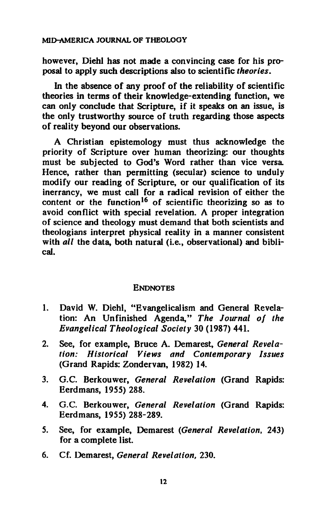**however, Diehl has not made a convincing case for his proposal to apply such descriptions also to scientific** *theories.* 

*in* **the absence of any proof of the reliability of scientific theories in terms of their knowledge-extending function, we can only conclude that Scripture, if it speaks on an issue, is the only trustworthy source of truth regarding those aspects of reality beyond our observations.** 

**A Christian epistemology must thus acknowledge the priority of Scripture over human theorizing: our thoughts must be subjected to God's Word rather than vice versa Hence, rather than permitting (secular) science to unduly modify our reading of Scripture, or our qualification of its inerrancy, we must call for a radical revision of either the content or the function<sup>16</sup> of scientific theorizing so as to avoid conflict with special revelation. Λ proper integration of science and theology must demand that both scientists and theologians interpret physical reality in a manner consistent with** *all* **the data, both natural (i.e., observational) and biblical.** 

# **ENDNOTES**

- **1. David W. Diehl, "Evangelicalism and General Revelation: An Unfinished Agenda,"** *The Journal of the Evangelical Theological Society* **30 (1987) 441.**
- **2. See, for example, Bruce A. Demarest,** *General Revelation: Historical Views and Contemporary Issues*  **(Grand Rapids: Zondervan, 1982) 14.**
- **3. G.C. Berkouwer,** *General Revelation* **(Grand Rapids: Eerdmans, 1955) 288.**
- **4. G.C. Berkouwer,** *General Revelation* **(Grand Rapids: Eerdmans, 1955) 288-289.**
- **5. See, for example, Demarest** *(General Revelation,* **243) for a complete list.**
- **6. Cf. Demarest,** *General Revelation,* **230.**